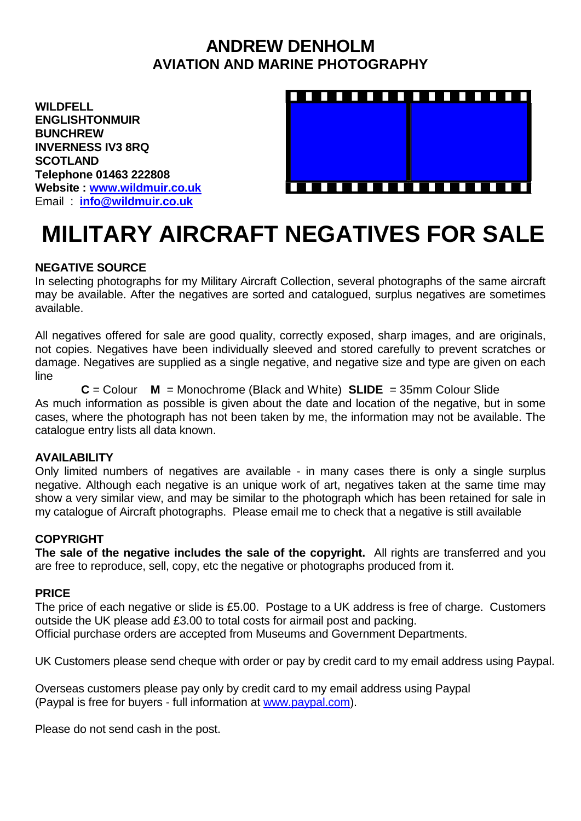## **ANDREW DENHOLM AVIATION AND MARINE PHOTOGRAPHY**

**WILDFELL ENGLISHTONMUIR BUNCHREW INVERNESS IV3 8RQ SCOTLAND Telephone 01463 222808 Website : [www.wildmuir.co.uk](http://www.wildmuir.co.uk/)** Email : **[info@wildmuir.co.uk](mailto:info@wildmuir.co.uk)**



# **MILITARY AIRCRAFT NEGATIVES FOR SALE**

### **NEGATIVE SOURCE**

In selecting photographs for my Military Aircraft Collection, several photographs of the same aircraft may be available. After the negatives are sorted and catalogued, surplus negatives are sometimes available.

All negatives offered for sale are good quality, correctly exposed, sharp images, and are originals, not copies. Negatives have been individually sleeved and stored carefully to prevent scratches or damage. Negatives are supplied as a single negative, and negative size and type are given on each line

**C** = Colour **M** = Monochrome (Black and White) **SLIDE** = 35mm Colour Slide As much information as possible is given about the date and location of the negative, but in some cases, where the photograph has not been taken by me, the information may not be available. The catalogue entry lists all data known.

#### **AVAILABILITY**

Only limited numbers of negatives are available - in many cases there is only a single surplus negative. Although each negative is an unique work of art, negatives taken at the same time may show a very similar view, and may be similar to the photograph which has been retained for sale in my catalogue of Aircraft photographs. Please email me to check that a negative is still available

#### **COPYRIGHT**

**The sale of the negative includes the sale of the copyright.** All rights are transferred and you are free to reproduce, sell, copy, etc the negative or photographs produced from it.

#### **PRICE**

The price of each negative or slide is £5.00. Postage to a UK address is free of charge. Customers outside the UK please add £3.00 to total costs for airmail post and packing. Official purchase orders are accepted from Museums and Government Departments.

UK Customers please send cheque with order or pay by credit card to my email address using Paypal.

Overseas customers please pay only by credit card to my email address using Paypal (Paypal is free for buyers - full information at [www.paypal.com\)](http://www.paypal.com/).

Please do not send cash in the post.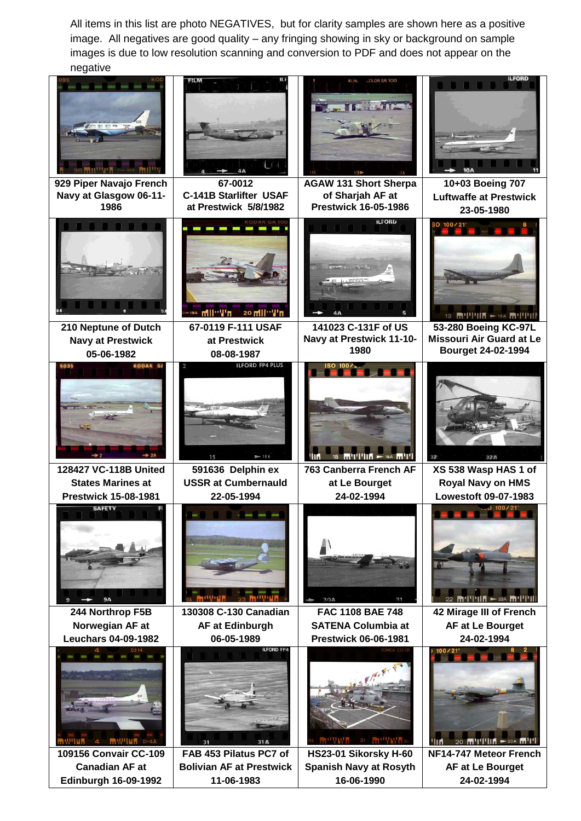All items in this list are photo NEGATIVES, but for clarity samples are shown here as a positive image. All negatives are good quality – any fringing showing in sky or background on sample images is due to low resolution scanning and conversion to PDF and does not appear on the negative

| present states and states are a present                           | <b>SHAM</b>                                                       | <b>COLOR SR 100</b>                                                                                           | <b>ILFORD</b>                                                                                               |
|-------------------------------------------------------------------|-------------------------------------------------------------------|---------------------------------------------------------------------------------------------------------------|-------------------------------------------------------------------------------------------------------------|
|                                                                   |                                                                   |                                                                                                               |                                                                                                             |
| 929 Piper Navajo French<br>Navy at Glasgow 06-11-<br>1986         | 67-0012<br><b>C-141B Starlifter USAF</b><br>at Prestwick 5/8/1982 | <b>AGAW 131 Short Sherpa</b><br>of Sharjah AF at<br><b>Prestwick 16-05-1986</b>                               | 10+03 Boeing 707<br><b>Luftwaffe at Prestwick</b><br>23-05-1980                                             |
| 210 Neptune of Dutch<br><b>Navy at Prestwick</b>                  | KODAK GA 10<br>20<br>67-0119 F-111 USAF<br>at Prestwick           | <b>ILFORD</b><br>141023 C-131F of US<br>Navy at Prestwick 11-10-                                              | 80 100/21°<br>19 <b>m'll'illi - 194 m'll'ill</b><br>53-280 Boeing KC-97L<br><b>Missouri Air Guard at Le</b> |
| 05-06-1982<br><b>KODAK SA</b><br>5035                             | 08-08-1987<br><b>ILFORD FP4 PLUS</b>                              | 1980<br>SO 100/2                                                                                              | Bourget 24-02-1994                                                                                          |
|                                                                   |                                                                   | $\mathsf{m}^\mathsf{H}\mathsf{H}^\mathsf{H}\mathsf{H}\mathsf{H} = \mathsf{m}^\mathsf{H}\mathsf{H}^\mathsf{H}$ | 32A                                                                                                         |
| 128427 VC-118B United<br><b>States Marines at</b>                 | 591636 Delphin ex<br><b>USSR at Cumbernauld</b>                   | 763 Canberra French AF<br>at Le Bourget                                                                       | XS 538 Wasp HAS 1 of<br><b>Royal Navy on HMS</b>                                                            |
| <b>Prestwick 15-08-1981</b>                                       | 22-05-1994                                                        | 24-02-1994                                                                                                    | <b>Lowestoft 09-07-1983</b>                                                                                 |
| <b>SAFETY</b><br><b>9A</b>                                        |                                                                   | 304                                                                                                           | 20 100 ⁄ 21°                                                                                                |
| 244 Northrop F5B<br>Norwegian AF at<br><b>Leuchars 04-09-1982</b> | 130308 C-130 Canadian<br>AF at Edinburgh<br>06-05-1989            | FAC 1108 BAE 748<br><b>SATENA Columbia at</b><br><b>Prestwick 06-06-1981</b>                                  | 42 Mirage III of French<br>AF at Le Bourget<br>24-02-1994                                                   |
| <b>MW'ILM</b> D-4A                                                | <b>ILFORD FP</b><br>31<br>31A                                     | 31 mOVWH                                                                                                      |                                                                                                             |
| 109156 Convair CC-109<br><b>Canadian AF at</b>                    | FAB 453 Pilatus PC7 of<br><b>Bolivian AF at Prestwick</b>         | HS23-01 Sikorsky H-60<br><b>Spanish Navy at Rosyth</b>                                                        | NF14-747 Meteor French<br>AF at Le Bourget                                                                  |
| <b>Edinburgh 16-09-1992</b>                                       | 11-06-1983                                                        | 16-06-1990                                                                                                    | 24-02-1994                                                                                                  |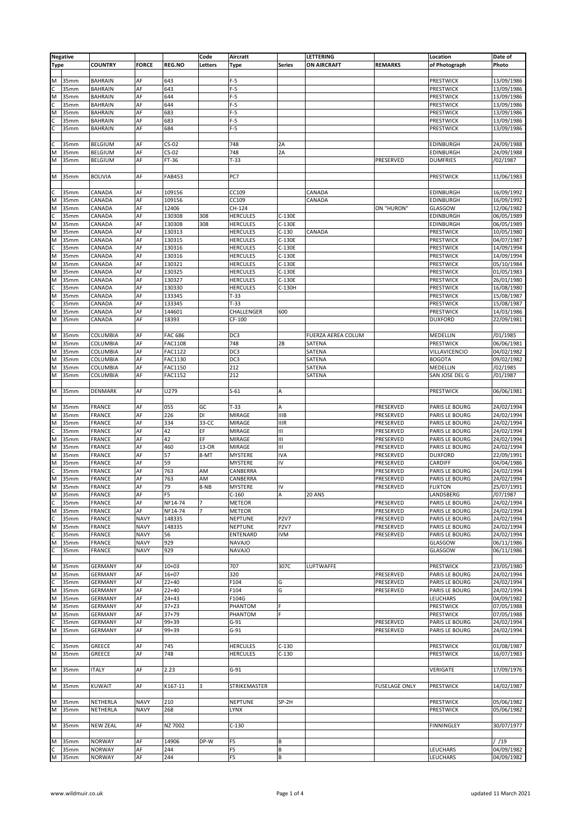|             | <b>Negative</b>  |                         |                            |                | Code           | Aircratt                       |               | <b>LETTERING</b>   |                      | Location           | Date of                  |
|-------------|------------------|-------------------------|----------------------------|----------------|----------------|--------------------------------|---------------|--------------------|----------------------|--------------------|--------------------------|
| <b>Type</b> |                  | <b>COUNTRY</b>          | <b>FORCE</b>               | <b>REG.NO</b>  | Letters        | <b>Type</b>                    | <b>Series</b> | <b>ON AIRCRAFT</b> | <b>REMARKS</b>       | of Photograph      | Photo                    |
|             |                  |                         |                            |                |                |                                |               |                    |                      |                    |                          |
| M           | 35mm             | <b>BAHRAIN</b>          | AF                         | 643            |                | $F-5$                          |               |                    |                      | <b>PRESTWICK</b>   | 13/09/1986               |
|             | 35mm             | <b>BAHRAIN</b>          | AF                         | 643            |                | $F-5$                          |               |                    |                      | <b>PRESTWICK</b>   | 13/09/1986               |
| M           | 35mm             | <b>BAHRAIN</b>          | AF                         | 644            |                | $F-5$                          |               |                    |                      | <b>PRESTWICK</b>   | 13/09/1986               |
| $\epsilon$  | 35mm             | BAHRAIN                 | AF                         | 644            |                | $F-5$                          |               |                    |                      | PRESTWICK          | 13/09/1986               |
| M           | 35mm             | <b>BAHRAIN</b>          | AF                         | 683            |                | $F-5$                          |               |                    |                      | PRESTWICK          | 13/09/1986               |
|             | 35 <sub>mm</sub> | BAHRAIN                 | AF                         | 683            |                | $F-5$                          |               |                    |                      | PRESTWICK          | 13/09/1986               |
| C           | 35mm             | BAHRAIN                 | AF                         | 684            |                | $F-5$                          |               |                    |                      | <b>PRESTWICK</b>   | 13/09/1986               |
| C           | 35mm             | BELGIUM                 | AF                         | $CS-02$        |                | 748                            | 2A            |                    |                      | EDINBURGH          | 24/09/1988               |
| M           | 35mm             | BELGIUM                 | AF                         | $CS-02$        |                | 748                            | 2A            |                    |                      | EDINBURGH          | 24/09/1988               |
| M           | 35mm             | BELGIUM                 | AF                         | FT-36          |                | $T-33$                         |               |                    | PRESERVED            | DUMFRIES           | /02/1987                 |
|             |                  |                         |                            |                |                |                                |               |                    |                      |                    |                          |
| м           | 35mm             | <b>BOLIVIA</b>          | AF                         | FAB453         |                | PC7                            |               |                    |                      | PRESTWICK          | 11/06/1983               |
|             |                  |                         |                            |                |                |                                |               |                    |                      |                    |                          |
|             | 35 <sub>mm</sub> | CANADA                  | AF                         | 109156         |                | CC109                          |               | CANADA             |                      | EDINBURGH          | 16/09/1992               |
| M           | 35mm             | CANADA                  | AF                         | 109156         |                | CC109                          |               | CANADA             |                      | EDINBURGH          | 16/09/1992               |
| M           | 35mm             | CANADA                  | AF                         | 12406          |                | CH-124                         |               |                    | ON "HURON"           | GLASGOW            | 12/06/1982               |
|             | 35mm             | CANADA                  | AF                         | 130308         | 308            | <b>HERCULES</b>                | C-130E        |                    |                      | EDINBURGH          | 06/05/1989               |
| M           | 35mm             | CANADA                  | AF                         | 130308         | 308            | <b>HERCULES</b>                | C-130E        |                    |                      | EDINBURGH          | 06/05/1989               |
| M           | 35 <sub>mm</sub> | CANADA                  | AF                         | 130313         |                | <b>HERCULES</b>                | $C-130$       | CANADA             |                      | PRESTWICK          | 10/05/1980               |
| M           | 35mm             | CANADA                  | AF                         | 130315         |                | <b>HERCULES</b>                | C-130E        |                    |                      | <b>PRESTWICK</b>   | 04/07/1987               |
|             | 35mm             | CANADA                  | AF                         | 130316         |                | <b>HERCULES</b>                | C-130E        |                    |                      | PRESTWICK          | 14/09/1994               |
| M           | 35mm             | CANADA                  | AF                         | 130316         |                | <b>HERCULES</b>                | C-130E        |                    |                      | PRESTWICK          | 14/09/1994               |
| M           | 35mm             | CANADA                  | AF                         | 130321         |                | <b>HERCULES</b>                | C-130E        |                    |                      | <b>PRESTWICK</b>   | 05/10/1984               |
| M           | 35mm             | CANADA                  | AF                         | 130325         |                | <b>HERCULES</b>                | C-130E        |                    |                      | <b>PRESTWICK</b>   | 01/05/1983               |
| M           | 35mm             | CANADA                  | AF                         | 130327         |                | <b>HERCULES</b>                | C-130E        |                    |                      | PRESTWICK          | 26/01/1980               |
| C           | 35mm             | CANADA                  | AF                         | 130330         |                | <b>HERCULES</b>                | C-130H        |                    |                      | <b>PRESTWICK</b>   | 16/08/1980               |
| M           | 35mm             | CANADA                  | AF                         | 133345         |                | $T-33$                         |               |                    |                      | PRESTWICK          | 15/08/1987               |
|             | 35mm             | CANADA                  | AF                         | 133345         |                | $T-33$                         |               |                    |                      | PRESTWICK          | 15/08/1987               |
| M           | 35mm             | CANADA                  | AF                         | 144601         |                | CHALLENGER                     | 600           |                    |                      | PRESTWICK          | 14/03/1986               |
| М           | 35mm             | CANADA                  | AF                         | 18393          |                | CF-100                         |               |                    |                      | <b>DUXFORD</b>     | 22/09/1981               |
| M           | 35mm             | COLUMBIA                | AF                         | <b>FAC 686</b> |                | DC <sub>3</sub>                |               | FUERZA AEREA COLUM |                      | MEDELLIN           | /01/1985                 |
| M           | 35mm             | COLUMBIA                | AF                         | FAC1108        |                | 748                            | 2B            | SATENA             |                      | <b>PRESTWICK</b>   | 06/06/1981               |
| M           | 35mm             | COLUMBIA                | AF                         | FAC1122        |                | DC <sub>3</sub>                |               | SATENA             |                      | VILLAVICENCIO      | 04/02/1982               |
| M           | 35mm             | COLUMBIA                | AF                         | FAC1130        |                | DC <sub>3</sub>                |               | SATENA             |                      | <b>BOGOTA</b>      | 09/02/1982               |
| M           | 35mm             | COLUMBIA                | AF                         | FAC1150        |                | 212                            |               | SATENA             |                      | MEDELLIN           | /02/1985                 |
| М           | 35mm             | COLUMBIA                | AF                         | FAC1152        |                | 212                            |               | SATENA             |                      | SAN JOSE DEL G     | /01/1987                 |
|             |                  |                         |                            |                |                |                                |               |                    |                      |                    |                          |
| M           | 35mm             | DENMARK                 | AF                         | U279           |                | $S-61$                         | Α             |                    |                      | PRESTWICK          | 06/06/1981               |
|             |                  |                         |                            |                |                |                                |               |                    |                      |                    |                          |
| М           | 35mm             | <b>FRANCE</b>           | AF                         | 055            | GC             | $T-33$                         | Α             |                    | PRESERVED            | PARIS LE BOURG     | 24/02/1994               |
| M           | 35mm             | FRANCE                  | AF                         | 226            | DI             | MIRAGE                         | <b>IIIB</b>   |                    | PRESERVED            | PARIS LE BOURG     | 24/02/1994               |
| M           | 35mm             | <b>FRANCE</b>           | AF                         | 334            | 33-CC          | MIRAGE                         | <b>IIIR</b>   |                    | PRESERVED            | PARIS LE BOURG     | 24/02/1994               |
| C           | 35mm             | FRANCE                  | AF                         | 42             | EF             | MIRAGE                         | Ш             |                    | PRESERVED            | PARIS LE BOURG     | 24/02/1994               |
| M           | 35mm             | <b>FRANCE</b>           | AF                         | 42             | EF             | MIRAGE                         | Ш             |                    | PRESERVED            | PARIS LE BOURG     | 24/02/1994               |
| M           | 35mm             | FRANCE                  | AF                         | 460            | 13-OR          | MIRAGE                         | Ш             |                    | PRESERVED            | PARIS LE BOURG     | 24/02/1994               |
| M           | 35mm             | FRANCE                  | AF                         | 57             | 8-MT           | <b>MYSTERE</b>                 | <b>IVA</b>    |                    | PRESERVED            | <b>DUXFORD</b>     | 22/09/1991               |
| M           | 35mm             | <b>FRANCE</b>           | AF                         | 59             |                | MYSTERE                        | IV            |                    | PRESERVED            | CARDIFF            | 04/04/1986               |
|             | 35mm             | FRANCE                  | AF                         | 763            | AM             | CANBERRA                       |               |                    | PRESERVED            | PARIS LE BOURG     | 24/02/1994               |
| M           | 35mm             | <b>FRANCE</b>           | AF                         | 763            | AM             | CANBERRA                       |               |                    | PRESERVED            | PARIS LE BOURG     | 24/02/1994               |
| M           | 35mm             | <b>FRANCE</b>           | AF                         | 79             | 8-NB           | <b>MYSTERE</b>                 | IV            |                    | PRESERVED            | <b>FLIXTON</b>     | 25/07/1991               |
| M           | 35mm             | <b>FRANCE</b>           | AF                         | F <sub>5</sub> |                | $C-160$                        | A             | 20 ANS             |                      | LANDSBERG          | /07/1987                 |
| C           | 35mm             | FRANCE                  | AF                         | NF14-74        | $\overline{7}$ | <b>METEOR</b>                  |               |                    | PRESERVED            | PARIS LE BOURG     | 24/02/1994               |
| M           | 35mm             | <b>FRANCE</b>           | AF                         | NF14-74        |                | <b>METEOR</b>                  |               |                    | PRESERVED            | PARIS LE BOURG     | 24/02/1994               |
| C           | 35mm             | <b>FRANCE</b>           | <b>NAVY</b>                | 148335         |                | <b>NEPTUNE</b>                 | <b>P2V7</b>   |                    | PRESERVED            | PARIS LE BOURG     | 24/02/1994               |
| M           | 35mm             | <b>FRANCE</b>           | <b>NAVY</b>                | 148335         |                | NEPTUNE                        | <b>P2V7</b>   |                    | PRESERVED            | PARIS LE BOURG     | 24/02/1994               |
|             | 35mm             | <b>FRANCE</b>           | <b>NAVY</b>                | 56             |                | <b>ENTENARD</b>                | <b>IVM</b>    |                    | PRESERVED            | PARIS LE BOURG     | 24/02/1994               |
| M<br>C      | 35mm<br>35mm     | <b>FRANCE</b><br>FRANCE | <b>NAVY</b><br><b>NAVY</b> | 929<br>929     |                | <b>NAVAJO</b><br><b>NAVAJO</b> |               |                    |                      | GLASGOW<br>GLASGOW | 06/11/1986<br>06/11/1986 |
|             |                  |                         |                            |                |                |                                |               |                    |                      |                    |                          |
| M           | 35mm             | <b>GERMANY</b>          | AF                         | $10 + 03$      |                | 707                            | 307C          | LUFTWAFFE          |                      | PRESTWICK          | 23/05/1980               |
| M           | 35mm             | <b>GERMANY</b>          | AF                         | $16 + 07$      |                | 320                            |               |                    | PRESERVED            | PARIS LE BOURG     | 24/02/1994               |
| C           | 35mm             | <b>GERMANY</b>          | AF                         | $22 + 40$      |                | F104                           | G             |                    | PRESERVED            | PARIS LE BOURG     | 24/02/1994               |
| M           | 35mm             | <b>GERMANY</b>          | AF                         | $22 + 40$      |                | F104                           | G             |                    | PRESERVED            | PARIS LE BOURG     | 24/02/1994               |
| M           | 35mm             | <b>GERMANY</b>          | AF                         | $24 + 43$      |                | F104G                          |               |                    |                      | LEUCHARS           | 04/09/1982               |
| M           | 35mm             | <b>GERMANY</b>          | AF                         | $37 + 23$      |                | PHANTOM                        | F             |                    |                      | PRESTWICK          | 07/05/1988               |
| M           | 35mm             | <b>GERMANY</b>          | AF                         | $37 + 79$      |                | PHANTOM                        | F             |                    |                      | <b>PRESTWICK</b>   | 07/05/1988               |
|             | 35mm             | <b>GERMANY</b>          | AF                         | 99+39          |                | $G-91$                         |               |                    | PRESERVED            | PARIS LE BOURG     | 24/02/1994               |
| M           | 35mm             | <b>GERMANY</b>          | AF                         | 99+39          |                | $G-91$                         |               |                    | PRESERVED            | PARIS LE BOURG     | 24/02/1994               |
|             |                  |                         |                            |                |                |                                |               |                    |                      |                    |                          |
| C           | 35mm             | GREECE                  | AF                         | 745            |                | <b>HERCULES</b>                | $C-130$       |                    |                      | <b>PRESTWICK</b>   | 01/08/1987               |
| M           | 35mm             | GREECE                  | AF                         | 748            |                | <b>HERCULES</b>                | $C-130$       |                    |                      | PRESTWICK          | 16/07/1983               |
|             |                  |                         |                            |                |                |                                |               |                    |                      |                    |                          |
| М           | 35mm             | <b>ITALY</b>            | AF                         | 2.23           |                | $G-91$                         |               |                    |                      | VERIGATE           | 17/09/1976               |
|             |                  |                         |                            |                |                |                                |               |                    |                      |                    |                          |
| M           | 35mm             | <b>KUWAIT</b>           | AF                         | K167-11        | 3              | STRIKEMASTER                   |               |                    | <b>FUSELAGE ONLY</b> | <b>PRESTWICK</b>   | 14/02/1987               |
|             |                  |                         |                            |                |                |                                |               |                    |                      |                    |                          |
| M           | 35mm             | NETHERLA                | <b>NAVY</b>                | 210            |                | NEPTUNE                        | $SP-2H$       |                    |                      | <b>PRESTWICK</b>   | 05/06/1982               |
| M           | 35mm             | NETHERLA                | <b>NAVY</b>                | 268            |                | LYNX                           |               |                    |                      | PRESTWICK          | 05/06/1982               |
|             |                  |                         |                            |                |                |                                |               |                    |                      |                    |                          |
| М           | 35mm             | <b>NEW ZEAL</b>         | AF                         | NZ 7002        |                | $C-130$                        |               |                    |                      | <b>FINNINGLEY</b>  | 30/07/1977               |
|             |                  |                         |                            |                |                |                                |               |                    |                      |                    |                          |
| M           | 35mm             | <b>NORWAY</b>           | AF                         | 14906          | DP-W           | F5                             | B             |                    |                      |                    | /19                      |
|             | 35mm             | <b>NORWAY</b>           | AF                         | 244            |                | F5                             | $\sf{B}$      |                    |                      | LEUCHARS           | 04/09/1982               |
| M           | 35mm             | <b>NORWAY</b>           | AF                         | 244            |                | F5                             | $\sf B$       |                    |                      | LEUCHARS           | 04/09/1982               |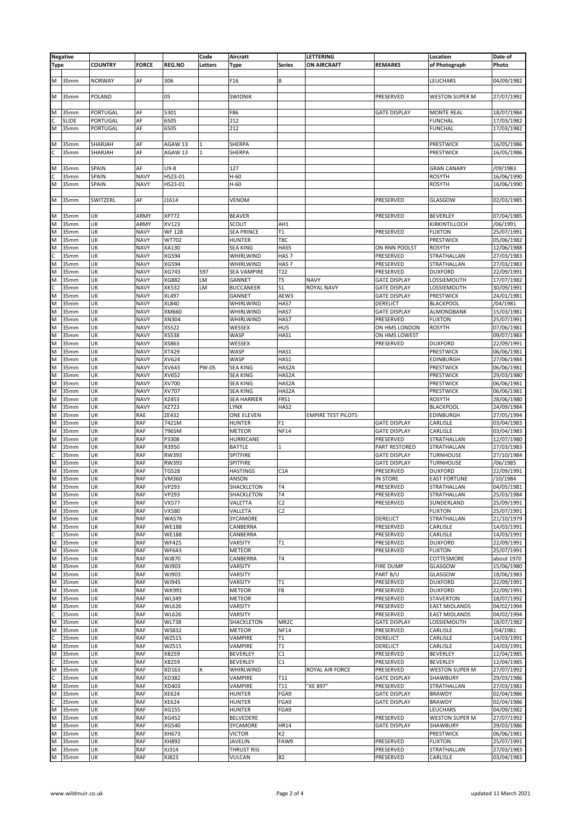|             | <b>Negative</b>  |                |              |               | Code    | Aircratt           |                   | LETTERING                 |                     | Location              | Date of    |
|-------------|------------------|----------------|--------------|---------------|---------|--------------------|-------------------|---------------------------|---------------------|-----------------------|------------|
| <b>Type</b> |                  | <b>COUNTRY</b> | <b>FORCE</b> | <b>REG.NO</b> | Letters | Type               | <b>Series</b>     | <b>ON AIRCRAFT</b>        | <b>REMARKS</b>      | of Photograph         | Photo      |
|             |                  |                |              |               |         |                    |                   |                           |                     |                       |            |
| M           | 35mm             | <b>NORWAY</b>  | AF           | 306           |         | F16                | <b>B</b>          |                           |                     | LEUCHARS              | 04/09/1982 |
|             |                  |                |              |               |         |                    |                   |                           |                     |                       |            |
| M           | 35mm             | <b>POLAND</b>  |              | 05            |         | SWIDNIK            |                   |                           | PRESERVED           | WESTON SUPER M        | 27/07/1992 |
|             |                  |                |              |               |         |                    |                   |                           |                     |                       |            |
| M           | 35mm             | PORTUGAL       | AF           | 5301          |         | F86                |                   |                           | <b>GATE DISPLAY</b> | <b>MONTE REAL</b>     | 18/07/1984 |
| С           | <b>SLIDE</b>     | PORTUGAL       | AF           | 6505          |         | 212                |                   |                           |                     | <b>FUNCHAL</b>        | 17/03/1982 |
| M           | 35mm             | PORTUGAL       | AF           | 6505          |         | 212                |                   |                           |                     | <b>FUNCHAL</b>        | 17/03/1982 |
|             |                  |                |              |               |         |                    |                   |                           |                     |                       |            |
|             |                  |                |              |               |         |                    |                   |                           |                     |                       |            |
| М           | 35mm             | SHARJAH        | AF           | AGAW 13       |         | SHERPA             |                   |                           |                     | <b>PRESTWICK</b>      | 16/05/1986 |
|             | 35mm             | SHARJAH        | AF           | AGAW 13       | 1       | SHERPA             |                   |                           |                     | PRESTWICK             | 16/05/1986 |
|             |                  |                |              |               |         |                    |                   |                           |                     |                       |            |
| M           | 35mm             | SPAIN          | AF           | $U9-8$        |         | 127                |                   |                           |                     | <b>GRAN CANARY</b>    | /09/1983   |
| C           | 35mm             | SPAIN          | <b>NAVY</b>  | HS23-01       |         | $H-60$             |                   |                           |                     | <b>ROSYTH</b>         | 16/06/1990 |
| M           | 35mm             | SPAIN          | <b>NAVY</b>  | HS23-01       |         | $H-60$             |                   |                           |                     | <b>ROSYTH</b>         | 16/06/1990 |
|             |                  |                |              |               |         |                    |                   |                           |                     |                       |            |
| М           | 35mm             | SWITZERL       | AF           | J1614         |         | <b>VENOM</b>       |                   |                           | PRESERVED           | GLASGOW               | 02/03/1985 |
|             |                  |                |              |               |         |                    |                   |                           |                     |                       |            |
| M           | 35mm             | UK             | ARMY         | XP772         |         | <b>BEAVER</b>      |                   |                           | PRESERVED           | <b>BEVERLEY</b>       | 07/04/1985 |
| M           | 35mm             | UK             | ARMY         | XV123         |         | SCOUT              | AH1               |                           |                     | KIRKINTILLOCH         | /06/1991   |
| M           | 35mm             | UK             | <b>NAVY</b>  | <b>WF128</b>  |         | <b>SEA PRINCE</b>  | T <sub>1</sub>    |                           | PRESERVED           | <b>FLIXTON</b>        | 25/07/1991 |
| M           | 35mm             | UK             | <b>NAVY</b>  | WT702         |         | <b>HUNTER</b>      | T8C               |                           |                     | <b>PRESTWICK</b>      | 05/06/1982 |
| M           | 35mm             | UK             | <b>NAVY</b>  | XA130         |         | <b>SEA KING</b>    | HAS5              |                           | ON RNN POOLST       | <b>ROSYTH</b>         | 12/06/1988 |
| C           | 35 <sub>mm</sub> | UK             | <b>NAVY</b>  | XG594         |         | WHIRLWIND          | HAS <sub>7</sub>  |                           | PRESERVED           | STRATHALLAN           | 27/03/1983 |
| M           | 35mm             | UK             | <b>NAVY</b>  | XG594         |         | WHIRLWIND          | HAS <sub>7</sub>  |                           | PRESERVED           | STRATHALLAN           | 27/03/1983 |
| M           | 35mm             | UK             | <b>NAVY</b>  | XG743         | 597     | <b>SEA VAMPIRE</b> | T22               |                           | PRESERVED           | <b>DUXFORD</b>        | 22/09/1991 |
| M           | 35mm             | UK             | <b>NAVY</b>  | XG882         | LM      | GANNET             | T5                | <b>NAVY</b>               | <b>GATE DISPLAY</b> | LOSSIEMOUTH           | 17/07/1982 |
| C           | 35mm             | UK             | <b>NAVY</b>  | <b>XK532</b>  | LM      | <b>BUCCANEER</b>   | S <sub>1</sub>    | <b>ROYAL NAVY</b>         | <b>GATE DISPLAY</b> | LOSSIEMOUTH           | 30/09/1991 |
| M           | 35mm             | UK             | <b>NAVY</b>  | XL497         |         | <b>GANNET</b>      | AEW3              |                           | <b>GATE DISPLAY</b> | <b>PRESTWICK</b>      | 24/01/1981 |
| M           | 35mm             | UK             | <b>NAVY</b>  | XL840         |         | WHIRLWIND          | HAS7              |                           | DERELICT            | <b>BLACKPOOL</b>      | /04/1981   |
| M           | 35mm             | UK             | <b>NAVY</b>  | XM660         |         | WHIRLWIND          | HAS7              |                           | <b>GATE DISPLAY</b> | ALMONDBANK            | 15/03/1981 |
| M           | 35mm             | UK             | <b>NAVY</b>  | XN304         |         | WHIRLWIND          | HAS7              |                           | PRESERVED           | <b>FLIXTON</b>        | 25/07/1991 |
| M           | 35mm             | UK             | <b>NAVY</b>  | XS522         |         | WESSEX             | HU5               |                           | ON HMS LONDON       | <b>ROSYTH</b>         | 07/06/1981 |
| M           | 35mm             | UK             | <b>NAVY</b>  | XS538         |         | WASP               | HAS1              |                           | ON HMS LOWEST       |                       | 09/07/1983 |
|             |                  |                |              |               |         |                    |                   |                           |                     |                       |            |
| M           | 35mm             | UK             | <b>NAVY</b>  | XS863         |         | WESSEX             |                   |                           | PRESERVED           | <b>DUXFORD</b>        | 22/09/1991 |
| M           | 35mm             | UK             | <b>NAVY</b>  | XT429         |         | WASP               | HAS1              |                           |                     | PRESTWICK             | 06/06/1981 |
| M           | 35mm             | UK             | <b>NAVY</b>  | XV624         |         | WASP               | HAS1              |                           |                     | EDINBURGH             | 27/06/1984 |
| M           | 35mm             | UK             | <b>NAVY</b>  | XV643         | PW-05   | <b>SEA KING</b>    | HAS2A             |                           |                     | <b>PRESTWICK</b>      | 06/06/1981 |
| M           | 35mm             | UK             | <b>NAVY</b>  | XV652         |         | <b>SEA KING</b>    | HAS2A             |                           |                     | <b>PRESTWICK</b>      | 29/03/1980 |
| M           | 35mm             | UK             | <b>NAVY</b>  | XV700         |         | <b>SEA KING</b>    | HAS2A             |                           |                     | <b>PRESTWICK</b>      | 06/06/1981 |
| M           | 35mm             | UK             | <b>NAVY</b>  | XV707         |         | <b>SEA KING</b>    | HAS2A             |                           |                     | PRESTWICK             | 06/06/1981 |
| M           | 35mm             | UK             | <b>NAVY</b>  | XZ453         |         | <b>SEA HARRIER</b> | FRS1              |                           |                     | <b>ROSYTH</b>         | 28/06/1980 |
| M           | 35mm             | UK             | <b>NAVY</b>  | XZ723         |         | <b>LYNX</b>        | HAS2              |                           |                     | <b>BLACKPOOL</b>      | 24/09/1984 |
| M           | 35mm             | UK             | RAE          | ZE432         |         | ONE ELEVEN         |                   | <b>EMPIRE TEST PILOTS</b> |                     | EDINBURGH             | 27/05/1994 |
| M           | 35mm             | UK             | RAF          | 7421M         |         | <b>HUNTER</b>      | F1                |                           | <b>GATE DISPLAY</b> | CARLISLE              | 03/04/1983 |
| M           | 35mm             | UK             | RAF          | 7965M         |         | <b>METEOR</b>      | <b>NF14</b>       |                           | <b>GATE DISPLAY</b> | CARLISLE              | 03/04/1983 |
| M           | 35mm             | UK             | RAF          | P3308         |         | <b>HURRICANE</b>   |                   |                           | PRESERVED           | STRATHALLAN           | 12/07/1980 |
| M           | 35mm             | UK             | RAF          | R3950         |         | <b>BATTLE</b>      | $\mathbf{1}$      |                           | PART RESTORED       | STRATHALLAN           | 27/03/1983 |
| C           | 35mm             | UK             | RAF          | RW393         |         | SPITFIRE           |                   |                           | <b>GATE DISPLAY</b> | <b>TURNHOUSE</b>      | 27/10/1984 |
| M           | 35mm             | UK             | RAF          | RW393         |         | SPITFIRE           |                   |                           | <b>GATE DISPLAY</b> | <b>TURNHOUSE</b>      | /06/1985   |
| M           | 35 <sub>mm</sub> | UK             | RAF          | TG528         |         | <b>HASTINGS</b>    | C1A               |                           | PRESERVED           | <b>DUXFORD</b>        | 22/09/1991 |
| M           | 35mm             | UK             | RAF          | VM360         |         | ANSON              |                   |                           | <b>IN STORE</b>     | <b>EAST FORTUNE</b>   | /10/1984   |
| M           | 35mm             | UK             | RAF          | <b>VP293</b>  |         | SHACKLETON         | T4                |                           | PRESERVED           | <b>STRATHALLAN</b>    | 04/05/1981 |
| M           | 35mm             | UK             | RAF          | <b>VP293</b>  |         | SHACKLETON         | <b>T4</b>         |                           | PRESERVED           | STRATHALLAN           | 25/03/1984 |
| M           | 35mm             | UK             | RAF          | <b>VX577</b>  |         | VALETTA            | C2                |                           | PRESERVED           | SUNDERLAND            | 25/09/1991 |
| M           | 35mm             | UK             | RAF          | VX580         |         | VALLETA            | C <sub>2</sub>    |                           |                     | <b>FLIXTON</b>        | 25/07/1991 |
| M           | 35mm             | UK             | RAF          | <b>WA576</b>  |         | SYCAMORE           |                   |                           | <b>DERELICT</b>     | STRATHALLAN           | 21/10/1979 |
| M           | 35mm             | UK             | RAF          | <b>WE188</b>  |         | CANBERRA           |                   |                           | PRESERVED           | CARLISLE              | 14/03/1991 |
|             | 35mm             | UK             | RAF          | <b>WE188</b>  |         | CANBERRA           |                   |                           | PRESERVED           | CARLISLE              | 14/03/1991 |
| M           | 35mm             | UK             | RAF          | <b>WF425</b>  |         | VARSITY            | T <sub>1</sub>    |                           | PRESERVED           | <b>DUXFORD</b>        | 22/09/1991 |
| M           | 35mm             | UK             | RAF          | <b>WF643</b>  |         | <b>METEOR</b>      |                   |                           | PRESERVED           | <b>FLIXTON</b>        | 25/07/1991 |
|             | 35mm             | UK             | RAF          | WJ870         |         | CANBERRA           | <b>T4</b>         |                           |                     |                       | about 1970 |
| M           |                  |                |              |               |         |                    |                   |                           |                     | COTTESMORE            |            |
| M           | 35mm             | UK             | RAF          | WJ903         |         | VARSITY            |                   |                           | <b>FIRE DUMP</b>    | GLASGOW               | 15/06/1980 |
| M           | 35mm             | UK             | RAF          | WJ903         |         | VARSITY            |                   |                           | PART B/U            | GLASGOW               | 18/06/1983 |
| M           | 35mm             | UK             | RAF          | WJ945         |         | VARSITY            | T1                |                           | PRESERVED           | <b>DUXFORD</b>        | 22/09/1991 |
| M           | 35mm             | UK             | RAF          | <b>WK991</b>  |         | <b>METEOR</b>      | F8                |                           | PRESERVED           | <b>DUXFORD</b>        | 22/09/1991 |
| M           | 35mm             | UK             | RAF          | <b>WL349</b>  |         | <b>METEOR</b>      |                   |                           | PRESERVED           | <b>STAVERTON</b>      | 18/07/1992 |
| M           | 35mm             | UK             | RAF          | <b>WL626</b>  |         | VARSITY            |                   |                           | PRESERVED           | <b>EAST MIDLANDS</b>  | 04/02/1994 |
|             | 35mm             | UK             | RAF          | <b>WL626</b>  |         | VARSITY            |                   |                           | PRESERVED           | <b>EAST MIDLANDS</b>  | 04/02/1994 |
| M           | 35mm             | UK             | RAF          | <b>WL738</b>  |         | SHACKLETON         | MR <sub>2</sub> C |                           | <b>GATE DISPLAY</b> | LOSSIEMOUTH           | 18/07/1982 |
| M           | 35mm             | UK             | RAF          | <b>WS832</b>  |         | <b>METEOR</b>      | <b>NF14</b>       |                           | PRESERVED           | CARLISLE              | /04/1981   |
| C           | 35mm             | UK             | RAF          | WZ515         |         | VAMPIRE            | T1                |                           | DERELICT            | CARLISLE              | 14/03/1991 |
| M           | 35mm             | UK             | RAF          | WZ515         |         | VAMPIRE            | T1                |                           | <b>DERELICT</b>     | CARLISLE              | 14/03/1991 |
| M           | 35mm             | UK             | RAF          | XB259         |         | <b>BEVERLEY</b>    | C1                |                           | PRESERVED           | <b>BEVERLEY</b>       | 12/04/1985 |
| C           | 35mm             | UK             | RAF          | XB259         |         | <b>BEVERLEY</b>    | C1                |                           | PRESERVED           | BEVERLEY              | 12/04/1985 |
| M           | 35mm             | UK             | RAF          | XD163         | Χ       | WHIRLWIND          |                   | ROYAL AIR FORCE           | PRESERVED           | <b>WESTON SUPER M</b> | 27/07/1992 |
| C           | 35mm             | UK             | RAF          | XD382         |         | VAMPIRE            | T11               |                           | <b>GATE DISPLAY</b> | SHAWBURY              | 29/03/1986 |
| М           | 35mm             | UK             | RAF          | XD403         |         | VAMPIRE            | T11               | "XE 897"                  | PRESERVED           | STRATHALLAN           | 27/03/1983 |
| M           | 35mm             | UK             | RAF          | XE624         |         | <b>HUNTER</b>      | FGA9              |                           | <b>GATE DISPLAY</b> | <b>BRAWDY</b>         | 02/04/1986 |
|             | 35mm             | UK             | RAF          | XE624         |         | <b>HUNTER</b>      | FGA9              |                           | <b>GATE DISPLAY</b> | <b>BRAWDY</b>         | 02/04/1986 |
| M           | 35mm             | UK             | RAF          | XG155         |         | <b>HUNTER</b>      | FGA9              |                           |                     | LEUCHARS              | 04/09/1982 |
| M           | 35mm             | UK             | RAF          | XG452         |         | BELVEDERE          |                   |                           | PRESERVED           | <b>WESTON SUPER M</b> | 27/07/1992 |
| M           | 35mm             | UK             | RAF          | XG540         |         | SYCAMORE           | HR14              |                           | <b>GATE DISPLAY</b> | SHAWBURY              | 29/03/1986 |
| M           |                  | UK             |              | XH673         |         | <b>VICTOR</b>      | K <sub>2</sub>    |                           |                     | PRESTWICK             | 06/06/1981 |
|             | 35mm             |                | RAF          |               |         |                    |                   |                           |                     |                       |            |
| M           | 35mm             | UK             | RAF          | XH892         |         | <b>JAVELIN</b>     | FAW9              |                           | PRESERVED           | <b>FLIXTON</b>        | 25/07/1991 |
| М           | 35mm             | UK             | RAF          | XJ314         |         | THRUST RIG         |                   |                           | PRESERVED           | STRATHALLAN           | 27/03/1983 |
| M           | 35mm             | UK             | RAF          | XJ823         |         | VULCAN             | <b>B2</b>         |                           | PRESERVED           | CARLISLE              | 03/04/1983 |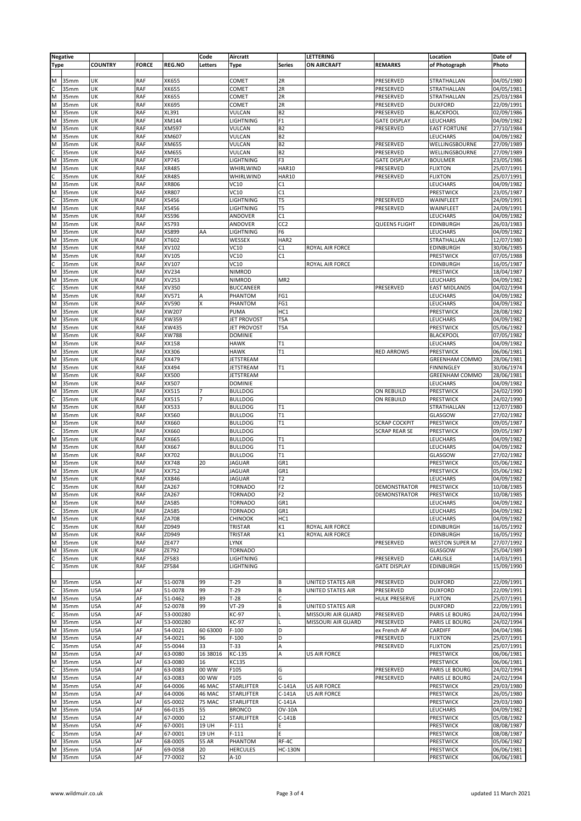|             | <b>Negative</b> |                          |              |                    | Code           | Aircratt                           |                      | LETTERING           |                           | Location                             | Date of                  |
|-------------|-----------------|--------------------------|--------------|--------------------|----------------|------------------------------------|----------------------|---------------------|---------------------------|--------------------------------------|--------------------------|
| <b>Type</b> |                 | <b>COUNTRY</b>           | <b>FORCE</b> | <b>REG.NO</b>      | Letters        | Type                               | <b>Series</b>        | <b>ON AIRCRAFT</b>  | <b>REMARKS</b>            | of Photograph                        | Photo                    |
|             |                 |                          |              |                    |                |                                    |                      |                     |                           |                                      |                          |
| M           | 35mm            | UK                       | RAF          | <b>XK655</b>       |                | COMET                              | 2R                   |                     | PRESERVED                 | STRATHALLAN                          | 04/05/1980               |
|             | 35mm            | UK                       | RAF          | XK655              |                | COMET                              | 2R                   |                     | PRESERVED                 | STRATHALLAN                          | 04/05/1981               |
| M           | 35mm            | UK<br>UK                 | RAF          | XK655              |                | COMET                              | 2R                   |                     | PRESERVED                 | STRATHALLAN                          | 25/03/1984               |
| M           | 35mm            | UK                       | RAF<br>RAF   | XK695<br>XL391     |                | COMET<br>VULCAN                    | 2R<br><b>B2</b>      |                     | PRESERVED<br>PRESERVED    | <b>DUXFORD</b><br><b>BLACKPOOL</b>   | 22/09/1991<br>02/09/1986 |
| M<br>M      | 35mm<br>35mm    | UK                       | RAF          | XM144              |                | LIGHTNING                          | F <sub>1</sub>       |                     | <b>GATE DISPLAY</b>       | LEUCHARS                             | 04/09/1982               |
| M           | 35mm            | UK                       | RAF          | XM597              |                | VULCAN                             | <b>B2</b>            |                     | PRESERVED                 | <b>EAST FORTUNE</b>                  | 27/10/1984               |
| M           | 35mm            | UK                       | RAF          | XM607              |                | VULCAN                             | <b>B2</b>            |                     |                           | LEUCHARS                             | 04/09/1982               |
| M           | 35mm            | UK                       | RAF          | XM655              |                | VULCAN                             | B <sub>2</sub>       |                     | PRESERVED                 | WELLINGSBOURNE                       | 27/09/1989               |
|             | 35mm            | UK                       | RAF          | XM655              |                | VULCAN                             | <b>B2</b>            |                     | PRESERVED                 | WELLINGSBOURNE                       | 27/09/1989               |
| M           | 35mm            | UK                       | RAF          | XP745              |                | LIGHTNING                          | F <sub>3</sub>       |                     | <b>GATE DISPLAY</b>       | <b>BOULMER</b>                       | 23/05/1986               |
| M           | 35mm            | UK                       | RAF          | XR485              |                | WHIRLWIND                          | <b>HAR10</b>         |                     | PRESERVED                 | <b>FLIXTON</b>                       | 25/07/1991               |
|             | 35mm            | UK                       | RAF          | XR485              |                | WHIRLWIND                          | <b>HAR10</b>         |                     | PRESERVED                 | <b>FLIXTON</b>                       | 25/07/1991               |
| M           | 35mm            | UK                       | RAF          | XR806              |                | VC10                               | C1                   |                     |                           | LEUCHARS                             | 04/09/1982               |
| M           | 35mm<br>35mm    | UK<br>UK                 | RAF<br>RAF   | XR807<br>XS456     |                | VC10<br><b>LIGHTNING</b>           | C1<br>T <sub>5</sub> |                     | PRESERVED                 | <b>PRESTWICK</b><br>WAINFLEET        | 23/05/1987<br>24/09/1991 |
| M           | 35mm            | UK                       | RAF          | XS456              |                | LIGHTNING                          | T <sub>5</sub>       |                     | PRESERVED                 | WAINFLEET                            | 24/09/1991               |
| M           | 35mm            | UK                       | RAF          | XS596              |                | ANDOVER                            | C1                   |                     |                           | LEUCHARS                             | 04/09/1982               |
| M           | 35mm            | UK                       | RAF          | XS793              |                | ANDOVER                            | CC <sub>2</sub>      |                     | <b>QUEENS FLIGHT</b>      | <b>EDINBURGH</b>                     | 26/03/1983               |
| M           | 35mm            | UK                       | RAF          | XS899              | AA             | LIGHTNING                          | F <sub>6</sub>       |                     |                           | LEUCHARS                             | 04/09/1982               |
| M           | 35mm            | UK                       | RAF          | XT602              |                | WESSEX                             | HAR2                 |                     |                           | STRATHALLAN                          | 12/07/1980               |
| M           | 35mm            | UK                       | RAF          | XV102              |                | VC10                               | C1                   | ROYAL AIR FORCE     |                           | <b>EDINBURGH</b>                     | 30/06/1985               |
| M           | 35mm            | UK                       | RAF          | XV105              |                | VC10                               | C1                   |                     |                           | PRESTWICK                            | 07/05/1988               |
|             | 35mm            | UK                       | RAF          | XV107              |                | VC10                               |                      | ROYAL AIR FORCE     |                           | <b>EDINBURGH</b>                     | 16/05/1987               |
| M           | 35mm            | UK                       | RAF          | XV234              |                | <b>NIMROD</b>                      |                      |                     |                           | <b>PRESTWICK</b>                     | 18/04/1987               |
| M           | 35mm            | UK<br>UK                 | RAF          | XV253              |                | <b>NIMROD</b>                      | MR <sub>2</sub>      |                     |                           | LEUCHARS                             | 04/09/1982               |
| M           | 35mm<br>35mm    | UK                       | RAF<br>RAF   | XV350<br>XV571     | Α              | <b>BUCCANEER</b><br>PHANTOM        | FG1                  |                     | PRESERVED                 | <b>EAST MIDLANDS</b><br>LEUCHARS     | 04/02/1994<br>04/09/1982 |
| M           | 35mm            | UK                       | RAF          | XV590              |                | PHANTOM                            | FG1                  |                     |                           | LEUCHARS                             | 04/09/1982               |
| M           | 35mm            | UK                       | RAF          | XW207              |                | PUMA                               | HC1                  |                     |                           | PRESTWICK                            | 28/08/1982               |
| M           | 35mm            | UK                       | RAF          | XW359              |                | <b>JET PROVOST</b>                 | T <sub>5</sub> A     |                     |                           | LEUCHARS                             | 04/09/1982               |
| M           | 35mm            | UK                       | RAF          | XW435              |                | <b>JET PROVOST</b>                 | T5A                  |                     |                           | PRESTWICK                            | 05/06/1982               |
| M           | 35mm            | UK                       | RAF          | <b>XW788</b>       |                | <b>DOMINIE</b>                     |                      |                     |                           | <b>BLACKPOOL</b>                     | 07/05/1982               |
| M           | 35mm            | UK                       | RAF          | XX158              |                | <b>HAWK</b>                        | T1                   |                     |                           | LEUCHARS                             | 04/09/1982               |
| M           | 35mm            | UK                       | RAF          | XX306              |                | <b>HAWK</b>                        | T1                   |                     | <b>RED ARROWS</b>         | PRESTWICK                            | 06/06/1981               |
| M           | 35mm            | UK                       | RAF          | XX479              |                | <b>JETSTREAM</b>                   |                      |                     |                           | <b>GREENHAM COMMO</b>                | 28/06/1981               |
| M           | 35mm            | UK<br>UK                 | RAF<br>RAF   | XX494              |                | <b>JETSTREAM</b>                   | T1                   |                     |                           | <b>FINNINGLEY</b>                    | 30/06/1974               |
| M<br>M      | 35mm<br>35mm    | UK                       | RAF          | XX500<br>XX507     |                | <b>JETSTREAM</b><br><b>DOMINIE</b> |                      |                     |                           | <b>GREENHAM COMMO</b><br>LEUCHARS    | 28/06/1981<br>04/09/1982 |
| M           | 35mm            | UK                       | RAF          | XX515              |                | <b>BULLDOG</b>                     |                      |                     | ON REBUILD                | PRESTWICK                            | 24/02/1990               |
|             | 35mm            | UK                       | RAF          | XX515              | 7              | <b>BULLDOG</b>                     |                      |                     | ON REBUILD                | PRESTWICK                            | 24/02/1990               |
| M           | 35mm            | UK                       | RAF          | XX533              |                | <b>BULLDOG</b>                     | T1                   |                     |                           | STRATHALLAN                          | 12/07/1980               |
| M           | 35mm            | UK                       | RAF          | XX560              |                | <b>BULLDOG</b>                     | T1                   |                     |                           | GLASGOW                              | 27/02/1982               |
| M           | 35mm            | UK                       | RAF          | XX660              |                | <b>BULLDOG</b>                     | T1                   |                     | <b>SCRAP COCKPIT</b>      | PRESTWICK                            | 09/05/1987               |
|             | 35mm            | UK                       | RAF          | XX660              |                | <b>BULLDOG</b>                     |                      |                     | <b>SCRAP REAR SE</b>      | <b>PRESTWICK</b>                     | 09/05/1987               |
| M           | 35mm            | UK                       | RAF          | XX665              |                | <b>BULLDOG</b>                     | T1                   |                     |                           | LEUCHARS                             | 04/09/1982               |
| M           | 35mm            | UK                       | RAF          | XX667              |                | <b>BULLDOG</b>                     | T1                   |                     |                           | LEUCHARS                             | 04/09/1982               |
| M           | 35mm            | UK                       | RAF          | XX702              |                | <b>BULLDOG</b>                     | T1                   |                     |                           | GLASGOW                              | 27/02/1982               |
| M<br>M      | 35mm<br>35mm    | UK<br>UK                 | RAF<br>RAF   | XX748<br>XX752     | 20             | <b>JAGUAR</b><br><b>JAGUAR</b>     | GR1<br>GR1           |                     |                           | <b>PRESTWICK</b><br><b>PRESTWICK</b> | 05/06/1982<br>05/06/1982 |
| M           | 35mm            | UK                       | RAF          | XX846              |                | <b>JAGUAR</b>                      | T <sub>2</sub>       |                     |                           | LEUCHARS                             | 04/09/1982               |
|             | 35mm            | UK                       | RAF          | ZA267              |                | <b>TORNADO</b>                     | F <sub>2</sub>       |                     | <b>DEMONSTRATOR</b>       | <b>PRESTWICK</b>                     | 10/08/1985               |
| M           | 35mm            | UK                       | RAF          | ZA267              |                | <b>TORNADO</b>                     | F <sub>2</sub>       |                     | DEMONSTRATOR              | <b>PRESTWICK</b>                     | 10/08/1985               |
| M           | 35mm            | UK                       | RAF          | ZA585              |                | <b>TORNADO</b>                     | GR1                  |                     |                           | LEUCHARS                             | 04/09/1982               |
| C           | 35mm            | UK                       | RAF          | ZA585              |                | <b>TORNADO</b>                     | GR1                  |                     |                           | LEUCHARS                             | 04/09/1982               |
| M           | 35mm            | UK                       | RAF          | ZA708              |                | CHINOOK                            | HC1                  |                     |                           | LEUCHARS                             | 04/09/1982               |
| C           | 35mm            | UK                       | RAF          | ZD949              |                | <b>TRISTAR</b>                     | K1                   | ROYAL AIR FORCE     |                           | EDINBURGH                            | 16/05/1992               |
| M           | 35mm            | UK                       | RAF          | ZD949              |                | <b>TRISTAR</b>                     | K1                   | ROYAL AIR FORCE     |                           | <b>EDINBURGH</b>                     | 16/05/1992               |
| M<br>M      | 35mm<br>35mm    | UK<br>UK                 | RAF<br>RAF   | ZE477<br>ZE792     |                | LYNX<br><b>TORNADO</b>             |                      |                     | PRESERVED                 | <b>WESTON SUPER M</b><br>GLASGOW     | 27/07/1992<br>25/04/1989 |
|             | 35mm            | UK                       | RAF          | ZF583              |                | <b>LIGHTNING</b>                   |                      |                     | PRESERVED                 | CARLISLE                             | 14/03/1991               |
|             | 35mm            | UK                       | RAF          | ZF584              |                | LIGHTNING                          |                      |                     | <b>GATE DISPLAY</b>       | <b>EDINBURGH</b>                     | 15/09/1990               |
|             |                 |                          |              |                    |                |                                    |                      |                     |                           |                                      |                          |
| M           | 35mm            | <b>USA</b>               | AF           | 51-0078            | 99             | $T-29$                             | B                    | UNITED STATES AIR   | PRESERVED                 | <b>DUXFORD</b>                       | 22/09/1991               |
|             | 35mm            | <b>USA</b>               | AF           | 51-0078            | 99             | $T-29$                             | B                    | UNITED STATES AIR   | PRESERVED                 | <b>DUXFORD</b>                       | 22/09/1991               |
| M           | 35mm            | <b>USA</b>               | AF           | 51-0462            | 89             | $T-28$                             | $\mathsf{C}$         |                     | HULK PRESERVE             | <b>FLIXTON</b>                       | 25/07/1991               |
| M           | 35mm            | <b>USA</b>               | AF           | 52-0078            | 99             | $VT-29$                            | B                    | UNITED STATES AIR   |                           | <b>DUXFORD</b>                       | 22/09/1991               |
|             | 35mm            | <b>USA</b>               | AF           | 53-000280          |                | KC-97                              | L                    | MISSOURI AIR GUARD  | PRESERVED                 | PARIS LE BOURG                       | 24/02/1994               |
| M           | 35mm            | <b>USA</b>               | AF           | 53-000280          |                | KC-97                              | L<br>D               | MISSOURI AIR GUARD  | PRESERVED                 | PARIS LE BOURG                       | 24/02/1994               |
| M<br>M      | 35mm<br>35mm    | <b>USA</b><br><b>USA</b> | AF<br>AF     | 54-0021<br>54-0021 | 60 63000<br>96 | $F-100$<br>$F-100$                 | D                    |                     | ex French AF<br>PRESERVED | CARDIFF<br><b>FLIXTON</b>            | 04/04/1986<br>25/07/1991 |
|             | 35mm            | <b>USA</b>               | AF           | 55-0044            | 33             | $T-33$                             | A                    |                     | PRESERVED                 | <b>FLIXTON</b>                       | 25/07/1991               |
| M           | 35mm            | <b>USA</b>               | AF           | 63-0080            | 16 38016       | KC-135                             | $\mathsf A$          | US AIR FORCE        |                           | PRESTWICK                            | 06/06/1981               |
| M           | 35mm            | <b>USA</b>               | AF           | 63-0080            | 16             | KC135                              |                      |                     |                           | PRESTWICK                            | 06/06/1981               |
|             | 35mm            | USA                      | AF           | 63-0083            | 00 WW          | F105                               | G                    |                     | PRESERVED                 | PARIS LE BOURG                       | 24/02/1994               |
| M           | 35mm            | <b>USA</b>               | AF           | 63-0083            | 00 WW          | F105                               | G                    |                     | PRESERVED                 | PARIS LE BOURG                       | 24/02/1994               |
| M           | 35mm            | <b>USA</b>               | AF           | 64-0006            | 46 MAC         | <b>STARLIFTER</b>                  | $C-141A$             | <b>US AIR FORCE</b> |                           | PRESTWICK                            | 29/03/1980               |
| M           | 35mm            | <b>USA</b>               | AF           | 64-0006            | 46 MAC         | <b>STARLIFTER</b>                  | $C-141A$             | US AIR FORCE        |                           | PRESTWICK                            | 26/05/1980               |
| M           | 35mm            | <b>USA</b>               | AF           | 65-0002            | 75 MAC         | <b>STARLIFTER</b>                  | $C-141A$             |                     |                           | PRESTWICK                            | 29/03/1980               |
| M           | 35mm            | <b>USA</b>               | AF           | 66-0135            | 55             | <b>BRONCO</b>                      | <b>OV-10A</b>        |                     |                           | LEUCHARS                             | 04/09/1982               |
| M<br>M      | 35mm<br>35mm    | <b>USA</b><br><b>USA</b> | AF<br>AF     | 67-0000<br>67-0001 | 12<br>19 UH    | <b>STARLIFTER</b><br>$F-111$       | $C-141B$<br>E        |                     |                           | PRESTWICK<br>PRESTWICK               | 05/08/1982<br>08/08/1987 |
|             | 35mm            | <b>USA</b>               | AF           | 67-0001            | 19 UH          | $F-111$                            | E                    |                     |                           | PRESTWICK                            | 08/08/1987               |
| M           | 35mm            | <b>USA</b>               | AF           | 68-0005            | <b>55 AR</b>   | PHANTOM                            | RF-4C                |                     |                           | PRESTWICK                            | 05/06/1982               |
| M           | 35mm            | <b>USA</b>               | AF           | 69-0058            | 20             | <b>HERCULES</b>                    | <b>HC-130N</b>       |                     |                           | PRESTWICK                            | 06/06/1981               |
| M           | 35mm            | <b>USA</b>               | AF           | 77-0002            | 52             | $A-10$                             |                      |                     |                           | PRESTWICK                            | 06/06/1981               |